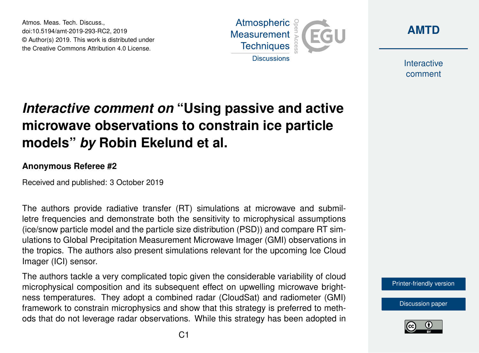Atmos. Meas. Tech. Discuss., doi:10.5194/amt-2019-293-RC2, 2019 © Author(s) 2019. This work is distributed under the Creative Commons Attribution 4.0 License.





**Interactive** comment

## *Interactive comment on* **"Using passive and active microwave observations to constrain ice particle models"** *by* **Robin Ekelund et al.**

## **Anonymous Referee #2**

Received and published: 3 October 2019

The authors provide radiative transfer (RT) simulations at microwave and submilletre frequencies and demonstrate both the sensitivity to microphysical assumptions (ice/snow particle model and the particle size distribution (PSD)) and compare RT simulations to Global Precipitation Measurement Microwave Imager (GMI) observations in the tropics. The authors also present simulations relevant for the upcoming Ice Cloud Imager (ICI) sensor.

The authors tackle a very complicated topic given the considerable variability of cloud microphysical composition and its subsequent effect on upwelling microwave brightness temperatures. They adopt a combined radar (CloudSat) and radiometer (GMI) framework to constrain microphysics and show that this strategy is preferred to methods that do not leverage radar observations. While this strategy has been adopted in

[Printer-friendly version](https://www.atmos-meas-tech-discuss.net/amt-2019-293/amt-2019-293-RC2-print.pdf)

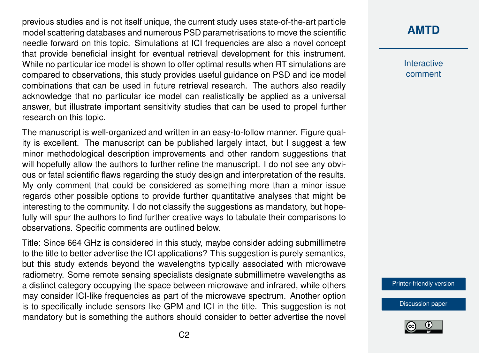previous studies and is not itself unique, the current study uses state-of-the-art particle model scattering databases and numerous PSD parametrisations to move the scientific needle forward on this topic. Simulations at ICI frequencies are also a novel concept that provide beneficial insight for eventual retrieval development for this instrument. While no particular ice model is shown to offer optimal results when RT simulations are compared to observations, this study provides useful guidance on PSD and ice model combinations that can be used in future retrieval research. The authors also readily acknowledge that no particular ice model can realistically be applied as a universal answer, but illustrate important sensitivity studies that can be used to propel further research on this topic.

The manuscript is well-organized and written in an easy-to-follow manner. Figure quality is excellent. The manuscript can be published largely intact, but I suggest a few minor methodological description improvements and other random suggestions that will hopefully allow the authors to further refine the manuscript. I do not see any obvious or fatal scientific flaws regarding the study design and interpretation of the results. My only comment that could be considered as something more than a minor issue regards other possible options to provide further quantitative analyses that might be interesting to the community. I do not classify the suggestions as mandatory, but hopefully will spur the authors to find further creative ways to tabulate their comparisons to observations. Specific comments are outlined below.

Title: Since 664 GHz is considered in this study, maybe consider adding submillimetre to the title to better advertise the ICI applications? This suggestion is purely semantics, but this study extends beyond the wavelengths typically associated with microwave radiometry. Some remote sensing specialists designate submillimetre wavelengths as a distinct category occupying the space between microwave and infrared, while others may consider ICI-like frequencies as part of the microwave spectrum. Another option is to specifically include sensors like GPM and ICI in the title. This suggestion is not mandatory but is something the authors should consider to better advertise the novel

## **[AMTD](https://www.atmos-meas-tech-discuss.net/)**

**Interactive** comment

[Printer-friendly version](https://www.atmos-meas-tech-discuss.net/amt-2019-293/amt-2019-293-RC2-print.pdf)

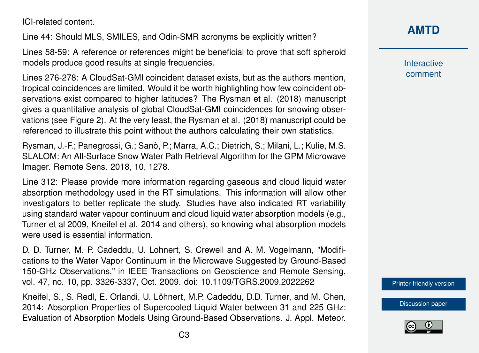ICI-related content.

Line 44: Should MLS, SMILES, and Odin-SMR acronyms be explicitly written?

Lines 58-59: A reference or references might be beneficial to prove that soft spheroid models produce good results at single frequencies.

Lines 276-278: A CloudSat-GMI coincident dataset exists, but as the authors mention, tropical coincidences are limited. Would it be worth highlighting how few coincident observations exist compared to higher latitudes? The Rysman et al. (2018) manuscript gives a quantitative analysis of global CloudSat-GMI coincidences for snowing observations (see Figure 2). At the very least, the Rysman et al. (2018) manuscript could be referenced to illustrate this point without the authors calculating their own statistics.

Rysman, J.-F.; Panegrossi, G.; Sanò, P.; Marra, A.C.; Dietrich, S.; Milani, L.; Kulie, M.S. SLALOM: An All-Surface Snow Water Path Retrieval Algorithm for the GPM Microwave Imager. Remote Sens. 2018, 10, 1278.

Line 312: Please provide more information regarding gaseous and cloud liquid water absorption methodology used in the RT simulations. This information will allow other investigators to better replicate the study. Studies have also indicated RT variability using standard water vapour continuum and cloud liquid water absorption models (e.g., Turner et al 2009, Kneifel et al. 2014 and others), so knowing what absorption models were used is essential information

D. D. Turner, M. P. Cadeddu, U. Lohnert, S. Crewell and A. M. Vogelmann, "Modifications to the Water Vapor Continuum in the Microwave Suggested by Ground-Based 150-GHz Observations," in IEEE Transactions on Geoscience and Remote Sensing, vol. 47, no. 10, pp. 3326-3337, Oct. 2009. doi: 10.1109/TGRS.2009.2022262

Kneifel, S., S. Redl, E. Orlandi, U. Löhnert, M.P. Cadeddu, D.D. Turner, and M. Chen, 2014: Absorption Properties of Supercooled Liquid Water between 31 and 225 GHz: Evaluation of Absorption Models Using Ground-Based Observations. J. Appl. Meteor. **[AMTD](https://www.atmos-meas-tech-discuss.net/)**

**Interactive** comment

[Printer-friendly version](https://www.atmos-meas-tech-discuss.net/amt-2019-293/amt-2019-293-RC2-print.pdf)

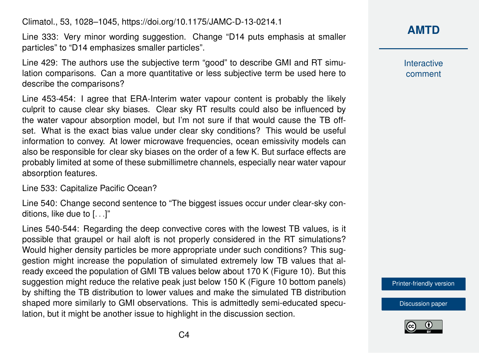Climatol., 53, 1028–1045, https://doi.org/10.1175/JAMC-D-13-0214.1

Line 333: Very minor wording suggestion. Change "D14 puts emphasis at smaller particles" to "D14 emphasizes smaller particles".

Line 429: The authors use the subjective term "good" to describe GMI and RT simulation comparisons. Can a more quantitative or less subjective term be used here to describe the comparisons?

Line 453-454: I agree that ERA-Interim water vapour content is probably the likely culprit to cause clear sky biases. Clear sky RT results could also be influenced by the water vapour absorption model, but I'm not sure if that would cause the TB offset. What is the exact bias value under clear sky conditions? This would be useful information to convey. At lower microwave frequencies, ocean emissivity models can also be responsible for clear sky biases on the order of a few K. But surface effects are probably limited at some of these submillimetre channels, especially near water vapour absorption features.

Line 533: Capitalize Pacific Ocean?

Line 540: Change second sentence to "The biggest issues occur under clear-sky conditions, like due to [. . .]"

Lines 540-544: Regarding the deep convective cores with the lowest TB values, is it possible that graupel or hail aloft is not properly considered in the RT simulations? Would higher density particles be more appropriate under such conditions? This suggestion might increase the population of simulated extremely low TB values that already exceed the population of GMI TB values below about 170 K (Figure 10). But this suggestion might reduce the relative peak just below 150 K (Figure 10 bottom panels) by shifting the TB distribution to lower values and make the simulated TB distribution shaped more similarly to GMI observations. This is admittedly semi-educated speculation, but it might be another issue to highlight in the discussion section.

**[AMTD](https://www.atmos-meas-tech-discuss.net/)**

**Interactive** comment

[Printer-friendly version](https://www.atmos-meas-tech-discuss.net/amt-2019-293/amt-2019-293-RC2-print.pdf)